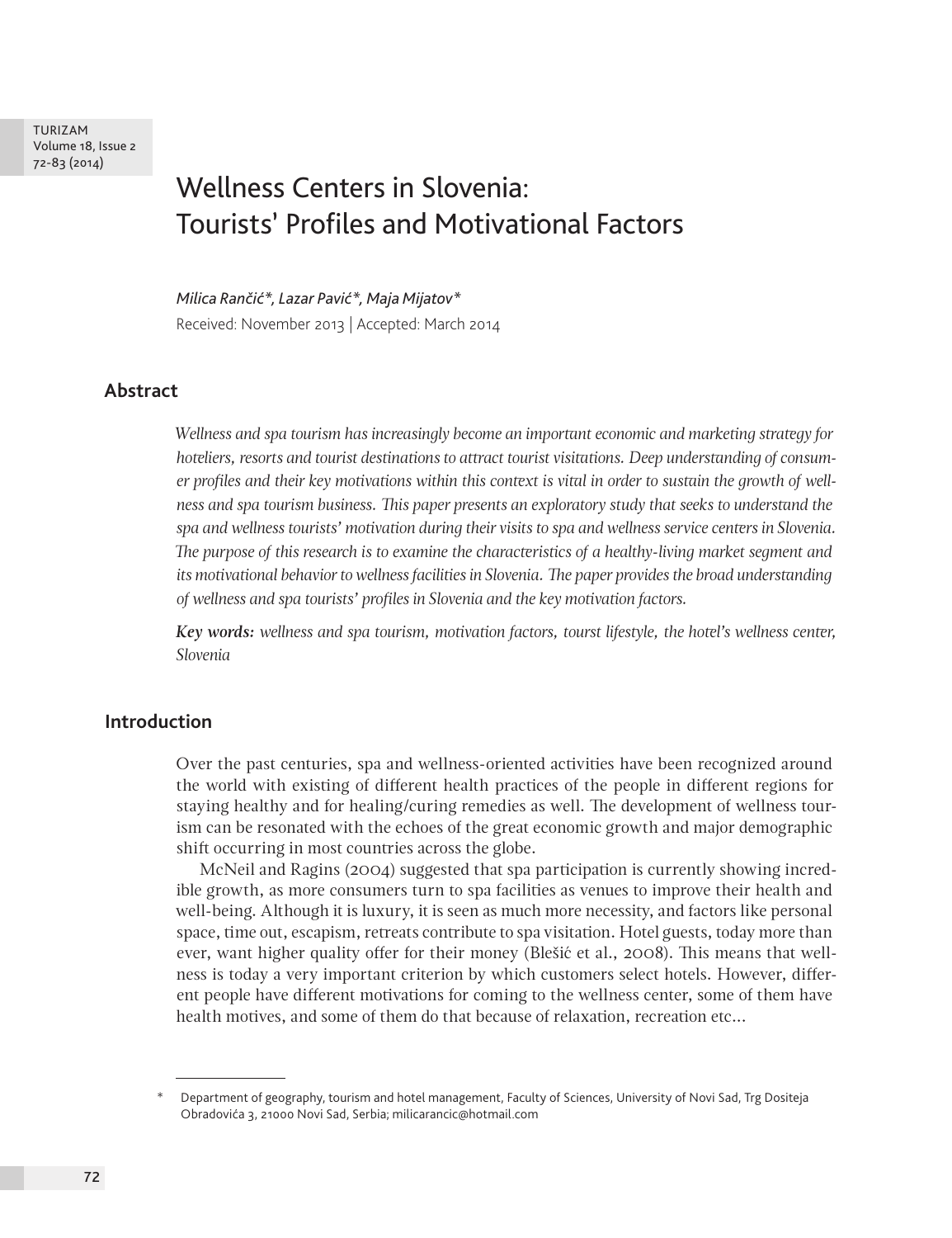TURIZAM Volume 18, Issue 2 72-83 (2014)

# Wellness Centers in Slovenia: Tourists' Profiles and Motivational Factors

*Milica Rančić\*, Lazar Pavić\*, Maja Mijatov\** Received: November 2013 | Accepted: March 2014

# **Abstract**

*Wellness and spa tourism has increasingly become an important economic and marketing strategy for hoteliers, resorts and tourist destinations to attract tourist visitations. Deep understanding of consumer profiles and their key motivations within this context is vital in order to sustain the growth of wellness and spa tourism business. This paper presents an exploratory study that seeks to understand the spa and wellness tourists' motivation during their visits to spa and wellness service centers in Slovenia. The purpose of this research is to examine the characteristics of a healthy-living market segment and its motivational behavior to wellness facilities in Slovenia. The paper provides the broad understanding of wellness and spa tourists' profiles in Slovenia and the key motivation factors.*

*Key words: wellness and spa tourism, motivation factors, tourst lifestyle, the hotel's wellness center, Slovenia*

#### **Introduction**

Over the past centuries, spa and wellness-oriented activities have been recognized around the world with existing of different health practices of the people in different regions for staying healthy and for healing/curing remedies as well. The development of wellness tourism can be resonated with the echoes of the great economic growth and major demographic shift occurring in most countries across the globe.

McNeil and Ragins (2004) suggested that spa participation is currently showing incredible growth, as more consumers turn to spa facilities as venues to improve their health and well-being. Although it is luxury, it is seen as much more necessity, and factors like personal space, time out, escapism, retreats contribute to spa visitation. Hotel guests, today more than ever, want higher quality offer for their money (Blešić et al., 2008). This means that wellness is today a very important criterion by which customers select hotels. However, different people have different motivations for coming to the wellness center, some of them have health motives, and some of them do that because of relaxation, recreation etc...

<sup>\*</sup> Department of geography, tourism and hotel management, Faculty of Sciences, University of Novi Sad, Trg Dositeja Obradovića 3, 21000 Novi Sad, Serbia; milicarancic@hotmail.com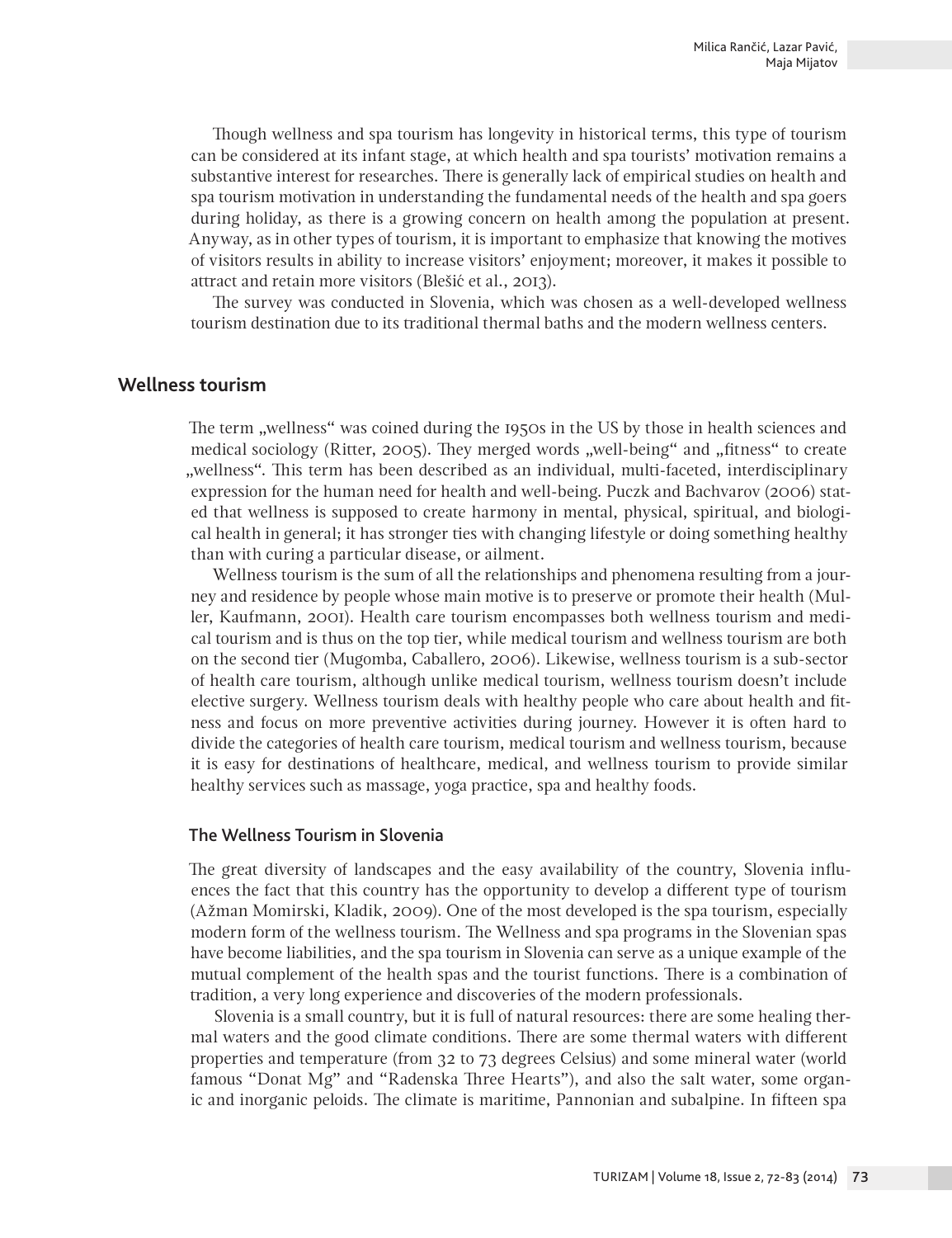Though wellness and spa tourism has longevity in historical terms, this type of tourism can be considered at its infant stage, at which health and spa tourists' motivation remains a substantive interest for researches. There is generally lack of empirical studies on health and spa tourism motivation in understanding the fundamental needs of the health and spa goers during holiday, as there is a growing concern on health among the population at present. Anyway, as in other types of tourism, it is important to emphasize that knowing the motives of visitors results in ability to increase visitors' enjoyment; moreover, it makes it possible to attract and retain more visitors (Blešić et al., 2013).

The survey was conducted in Slovenia, which was chosen as a well-developed wellness tourism destination due to its traditional thermal baths and the modern wellness centers.

# **Wellness tourism**

The term "wellness" was coined during the 1950s in the US by those in health sciences and medical sociology (Ritter, 2005). They merged words "well-being" and "fitness" to create "wellness". This term has been described as an individual, multi-faceted, interdisciplinary expression for the human need for health and well-being. Puczk and Bachvarov (2006) stated that wellness is supposed to create harmony in mental, physical, spiritual, and biological health in general; it has stronger ties with changing lifestyle or doing something healthy than with curing a particular disease, or ailment.

Wellness tourism is the sum of all the relationships and phenomena resulting from a journey and residence by people whose main motive is to preserve or promote their health (Muller, Kaufmann, 2001). Health care tourism encompasses both wellness tourism and medical tourism and is thus on the top tier, while medical tourism and wellness tourism are both on the second tier (Mugomba, Caballero, 2006). Likewise, wellness tourism is a sub-sector of health care tourism, although unlike medical tourism, wellness tourism doesn't include elective surgery. Wellness tourism deals with healthy people who care about health and fitness and focus on more preventive activities during journey. However it is often hard to divide the categories of health care tourism, medical tourism and wellness tourism, because it is easy for destinations of healthcare, medical, and wellness tourism to provide similar healthy services such as massage, yoga practice, spa and healthy foods.

# The Wellness Tourism in Slovenia

The great diversity of landscapes and the easy availability of the country, Slovenia influences the fact that this country has the opportunity to develop a different type of tourism (Ažman Momirski, Kladik, 2009). One of the most developed is the spa tourism, especially modern form of the wellness tourism. The Wellness and spa programs in the Slovenian spas have become liabilities, and the spa tourism in Slovenia can serve as a unique example of the mutual complement of the health spas and the tourist functions. There is a combination of tradition, a very long experience and discoveries of the modern professionals.

Slovenia is a small country, but it is full of natural resources: there are some healing thermal waters and the good climate conditions. There are some thermal waters with different properties and temperature (from 32 to 73 degrees Celsius) and some mineral water (world famous "Donat Mg" and "Radenska Three Hearts"), and also the salt water, some organic and inorganic peloids. The climate is maritime, Pannonian and subalpine. In fifteen spa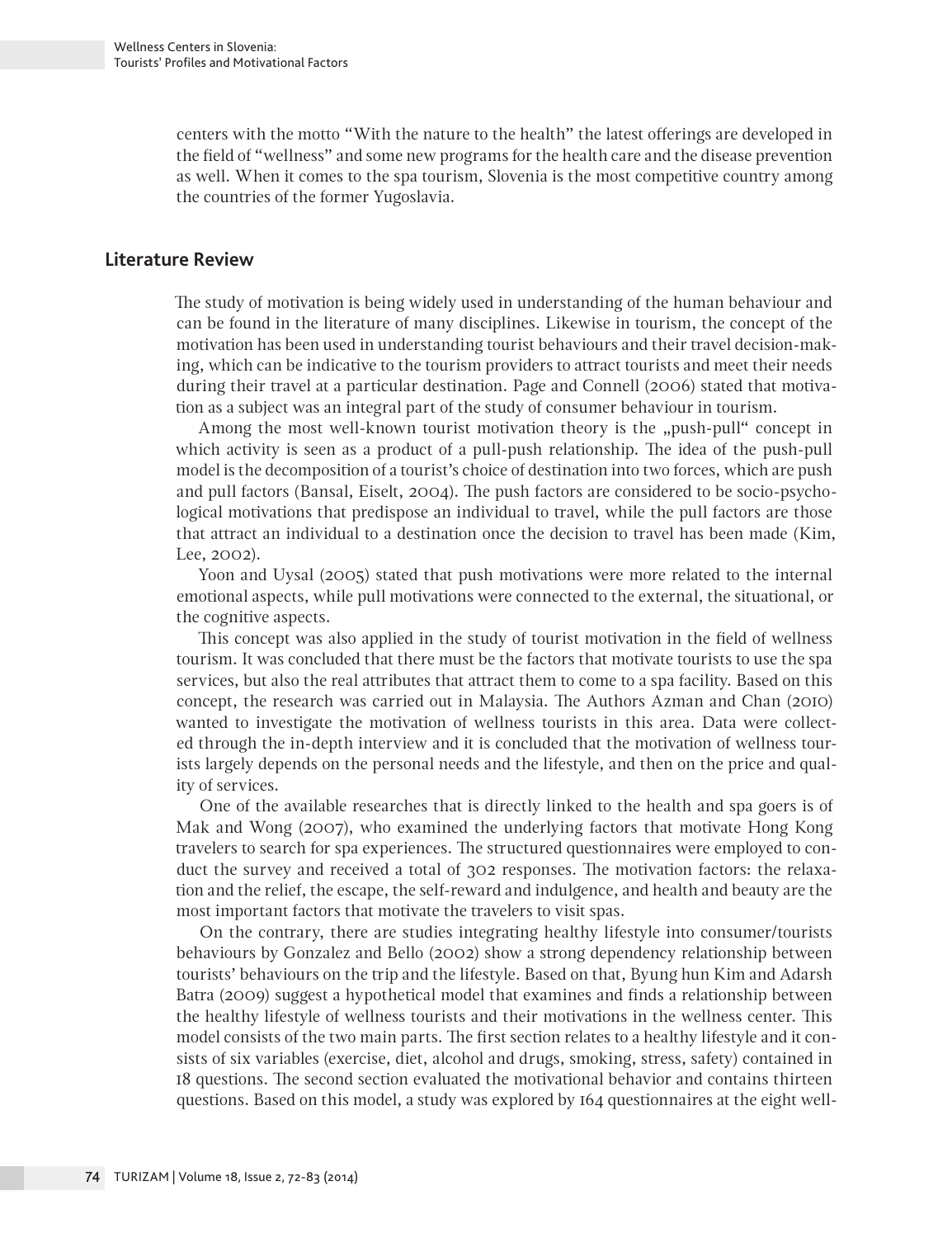centers with the motto "With the nature to the health" the latest offerings are developed in the field of "wellness" and some new programs for the health care and the disease prevention as well. When it comes to the spa tourism, Slovenia is the most competitive country among the countries of the former Yugoslavia.

### **Literature Review**

The study of motivation is being widely used in understanding of the human behaviour and can be found in the literature of many disciplines. Likewise in tourism, the concept of the motivation has been used in understanding tourist behaviours and their travel decision-making, which can be indicative to the tourism providers to attract tourists and meet their needs during their travel at a particular destination. Page and Connell (2006) stated that motivation as a subject was an integral part of the study of consumer behaviour in tourism.

Among the most well-known tourist motivation theory is the "push-pull" concept in which activity is seen as a product of a pull-push relationship. The idea of the push-pull model is the decomposition of a tourist's choice of destination into two forces, which are push and pull factors (Bansal, Eiselt, 2004). The push factors are considered to be socio-psychological motivations that predispose an individual to travel, while the pull factors are those that attract an individual to a destination once the decision to travel has been made (Kim, Lee, 2002).

Yoon and Uysal (2005) stated that push motivations were more related to the internal emotional aspects, while pull motivations were connected to the external, the situational, or the cognitive aspects.

This concept was also applied in the study of tourist motivation in the field of wellness tourism. It was concluded that there must be the factors that motivate tourists to use the spa services, but also the real attributes that attract them to come to a spa facility. Based on this concept, the research was carried out in Malaysia. The Authors Azman and Chan (2010) wanted to investigate the motivation of wellness tourists in this area. Data were collected through the in-depth interview and it is concluded that the motivation of wellness tourists largely depends on the personal needs and the lifestyle, and then on the price and quality of services.

One of the available researches that is directly linked to the health and spa goers is of Mak and Wong (2007), who examined the underlying factors that motivate Hong Kong travelers to search for spa experiences. The structured questionnaires were employed to conduct the survey and received a total of 302 responses. The motivation factors: the relaxation and the relief, the escape, the self-reward and indulgence, and health and beauty are the most important factors that motivate the travelers to visit spas.

On the contrary, there are studies integrating healthy lifestyle into consumer/tourists behaviours by Gonzalez and Bello (2002) show a strong dependency relationship between tourists' behaviours on the trip and the lifestyle. Based on that, Byung hun Kim and Adarsh Batra (2009) suggest a hypothetical model that examines and finds a relationship between the healthy lifestyle of wellness tourists and their motivations in the wellness center. This model consists of the two main parts. The first section relates to a healthy lifestyle and it consists of six variables (exercise, diet, alcohol and drugs, smoking, stress, safety) contained in 18 questions. The second section evaluated the motivational behavior and contains thirteen questions. Based on this model, a study was explored by 164 questionnaires at the eight well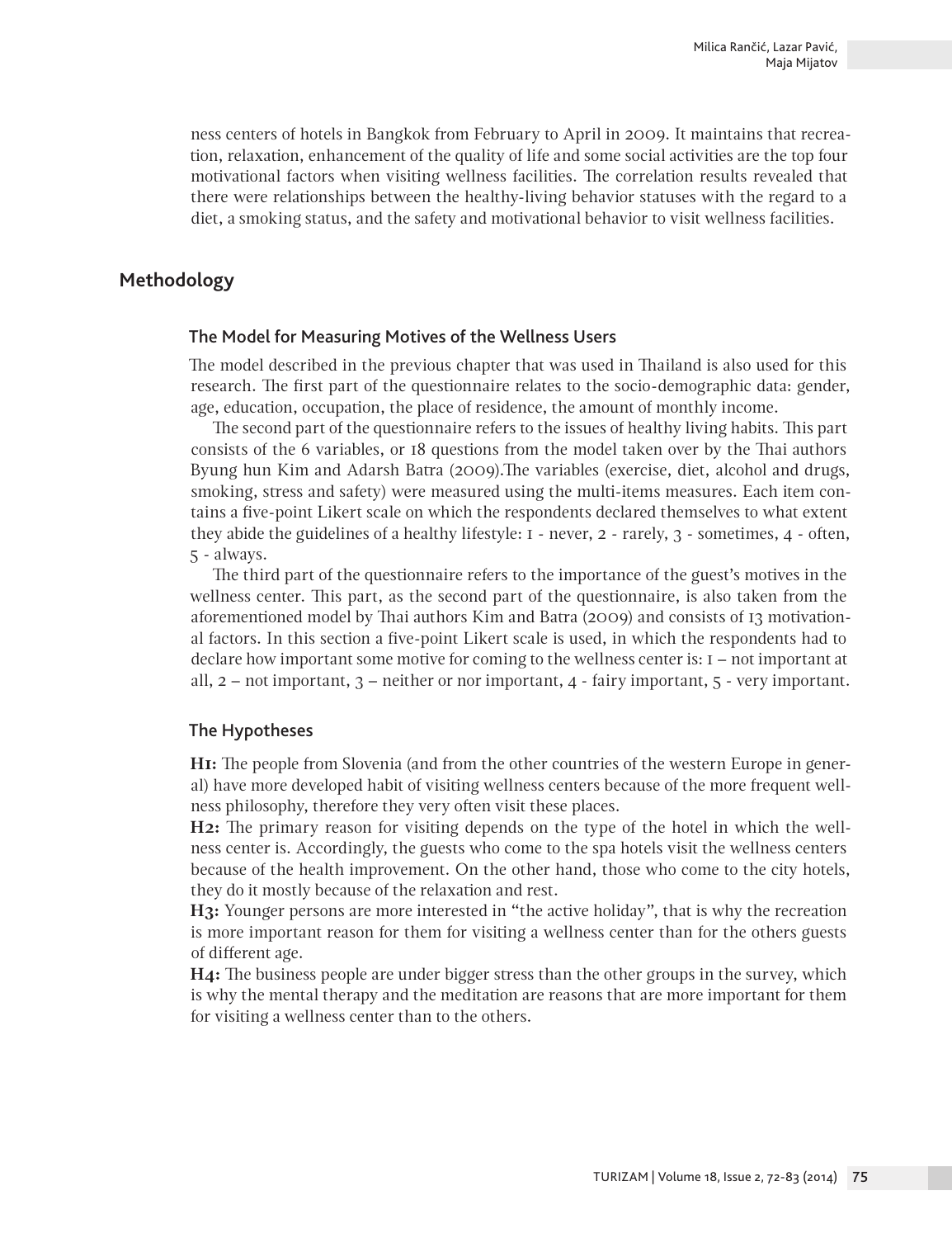ness centers of hotels in Bangkok from February to April in 2009. It maintains that recreation, relaxation, enhancement of the quality of life and some social activities are the top four motivational factors when visiting wellness facilities. The correlation results revealed that there were relationships between the healthy-living behavior statuses with the regard to a diet, a smoking status, and the safety and motivational behavior to visit wellness facilities.

# **Methodology**

#### The Model for Measuring Motives of the Wellness Users

The model described in the previous chapter that was used in Thailand is also used for this research. The first part of the questionnaire relates to the socio-demographic data: gender, age, education, occupation, the place of residence, the amount of monthly income.

The second part of the questionnaire refers to the issues of healthy living habits. This part consists of the 6 variables, or 18 questions from the model taken over by the Thai authors Byung hun Kim and Adarsh Batra (2009).The variables (exercise, diet, alcohol and drugs, smoking, stress and safety) were measured using the multi-items measures. Each item contains a five-point Likert scale on which the respondents declared themselves to what extent they abide the guidelines of a healthy lifestyle: 1 - never, 2 - rarely, 3 - sometimes, 4 - often, 5 - always.

The third part of the questionnaire refers to the importance of the guest's motives in the wellness center. This part, as the second part of the questionnaire, is also taken from the aforementioned model by Thai authors Kim and Batra (2009) and consists of 13 motivational factors. In this section a five-point Likert scale is used, in which the respondents had to declare how important some motive for coming to the wellness center is: 1 – not important at all,  $2$  – not important,  $3$  – neither or nor important,  $4$  - fairy important,  $5$  - very important.

#### The Hypotheses

**H1:** The people from Slovenia (and from the other countries of the western Europe in general) have more developed habit of visiting wellness centers because of the more frequent wellness philosophy, therefore they very often visit these places.

**H2:** The primary reason for visiting depends on the type of the hotel in which the wellness center is. Accordingly, the guests who come to the spa hotels visit the wellness centers because of the health improvement. On the other hand, those who come to the city hotels, they do it mostly because of the relaxation and rest.

**H3:** Younger persons are more interested in "the active holiday", that is why the recreation is more important reason for them for visiting a wellness center than for the others guests of different age.

**H4:** The business people are under bigger stress than the other groups in the survey, which is why the mental therapy and the meditation are reasons that are more important for them for visiting a wellness center than to the others.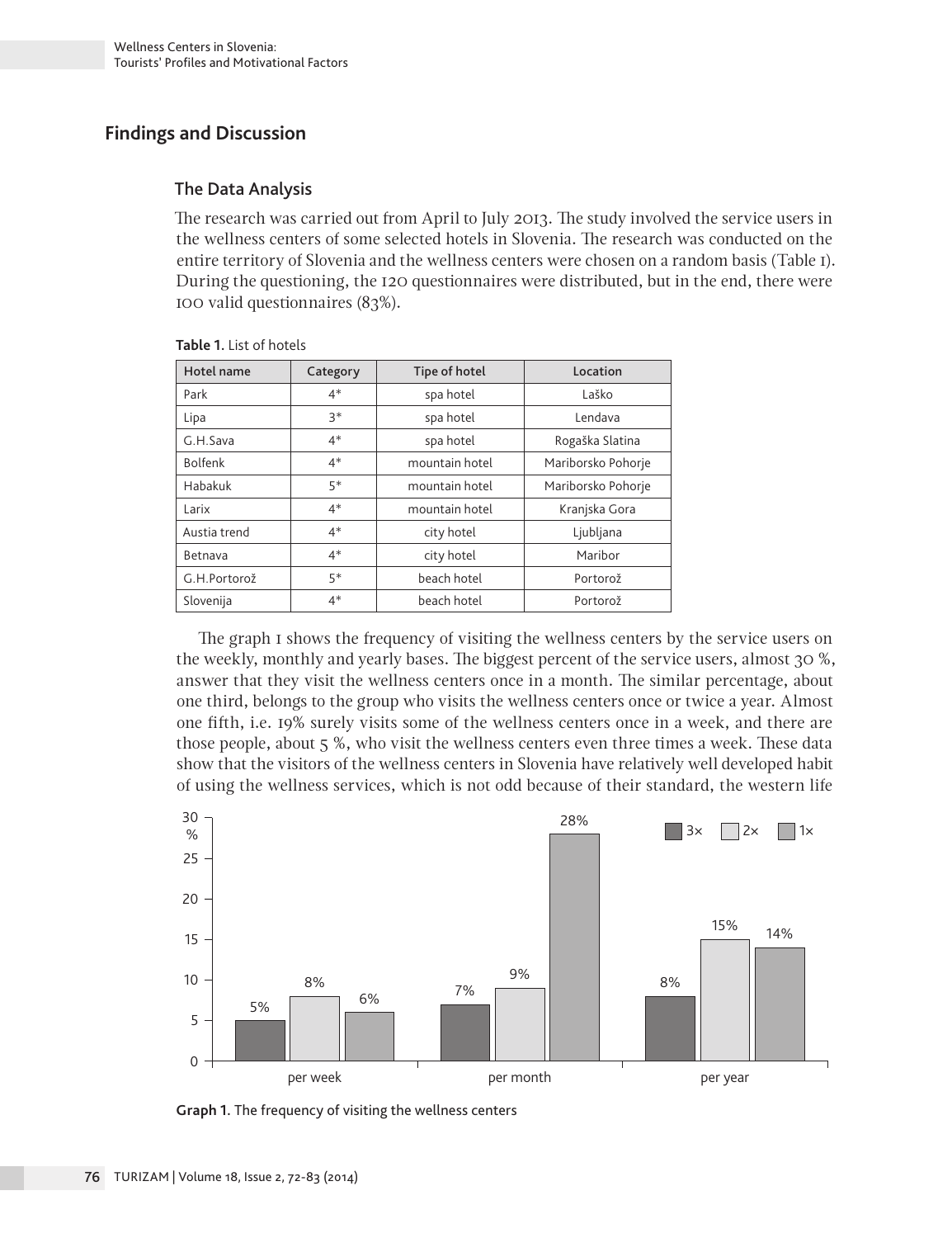# **Findings and Discussion**

# The Data Analysis

The research was carried out from April to July 2013. The study involved the service users in the wellness centers of some selected hotels in Slovenia. The research was conducted on the entire territory of Slovenia and the wellness centers were chosen on a random basis (Table 1). During the questioning, the 120 questionnaires were distributed, but in the end, there were 100 valid questionnaires (83%).

| Hotel name     | Category | Tipe of hotel  | Location           |
|----------------|----------|----------------|--------------------|
| Park           | $4*$     | spa hotel      | Laško              |
| Lipa           | $3*$     | spa hotel      | Lendava            |
| G.H.Sava       | $4*$     | spa hotel      | Rogaška Slatina    |
| <b>Bolfenk</b> | $4*$     | mountain hotel | Mariborsko Pohorje |
| Habakuk        | 5*       | mountain hotel | Mariborsko Pohorje |
| Larix          | $4*$     | mountain hotel | Kranjska Gora      |
| Austia trend   | $4*$     | city hotel     | Ljubljana          |
| Betnava        | $4*$     | city hotel     | Maribor            |
| G.H.Portorož   | 5*       | beach hotel    | Portorož           |
| Slovenija      | $4*$     | beach hotel    | Portorož           |

**Table 1.** List of hotels

The graph 1 shows the frequency of visiting the wellness centers by the service users on the weekly, monthly and yearly bases. The biggest percent of the service users, almost 30 %, answer that they visit the wellness centers once in a month. The similar percentage, about one third, belongs to the group who visits the wellness centers once or twice a year. Almost one fifth, i.e. 19% surely visits some of the wellness centers once in a week, and there are those people, about 5 %, who visit the wellness centers even three times a week. These data show that the visitors of the wellness centers in Slovenia have relatively well developed habit of using the wellness services, which is not odd because of their standard, the western life



**Graph 1.** The frequency of visiting the wellness centers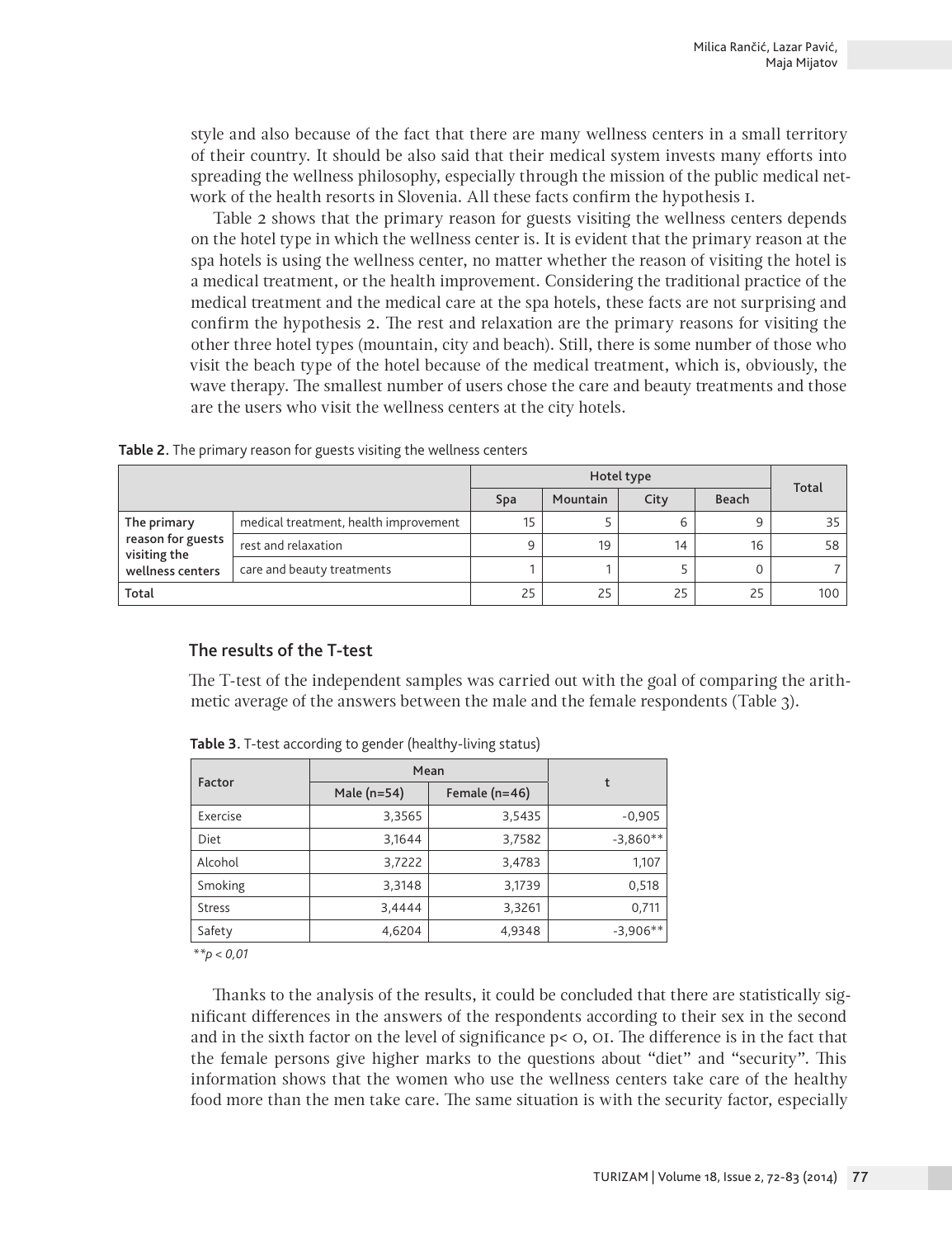style and also because of the fact that there are many wellness centers in a small territory of their country. It should be also said that their medical system invests many efforts into spreading the wellness philosophy, especially through the mission of the public medical network of the health resorts in Slovenia. All these facts confirm the hypothesis 1.

Table 2 shows that the primary reason for guests visiting the wellness centers depends on the hotel type in which the wellness center is. It is evident that the primary reason at the spa hotels is using the wellness center, no matter whether the reason of visiting the hotel is a medical treatment, or the health improvement. Considering the traditional practice of the medical treatment and the medical care at the spa hotels, these facts are not surprising and confirm the hypothesis 2. The rest and relaxation are the primary reasons for visiting the other three hotel types (mountain, city and beach). Still, there is some number of those who visit the beach type of the hotel because of the medical treatment, which is, obviously, the wave therapy. The smallest number of users chose the care and beauty treatments and those are the users who visit the wellness centers at the city hotels.

|                                   |                                       | Total |          |      |       |     |
|-----------------------------------|---------------------------------------|-------|----------|------|-------|-----|
|                                   |                                       | Spa   | Mountain | City | Beach |     |
| The primary                       | medical treatment, health improvement | 15    |          | ь    | 9     | 35  |
| reason for guests<br>visiting the | rest and relaxation                   | 9     | 19       | 14   | 16    | 58  |
| wellness centers                  | care and beauty treatments            |       |          |      |       |     |
| Total                             |                                       | 25    | 25       | 25   | 25    | 100 |

#### The results of the T-test

The T-test of the independent samples was carried out with the goal of comparing the arithmetic average of the answers between the male and the female respondents (Table 3).

| Factor        | Mean                             | t      |            |
|---------------|----------------------------------|--------|------------|
|               | Female $(n=46)$<br>Male $(n=54)$ |        |            |
| Exercise      | 3,3565                           | 3,5435 | $-0,905$   |
| Diet          | 3,1644                           | 3,7582 | $-3,860**$ |
| Alcohol       | 3,7222                           | 3,4783 | 1,107      |
| Smoking       | 3,3148                           | 3,1739 | 0,518      |
| <b>Stress</b> | 3,4444                           | 3,3261 | 0,711      |
| Safety        | 4,6204                           | 4,9348 | $-3,906**$ |

**Table 3.** T-test according to gender (healthy-living status)

 *\*\*p < 0,01*

Thanks to the analysis of the results, it could be concluded that there are statistically significant differences in the answers of the respondents according to their sex in the second and in the sixth factor on the level of significance p< 0, 01. The difference is in the fact that the female persons give higher marks to the questions about "diet" and "security". This information shows that the women who use the wellness centers take care of the healthy food more than the men take care. The same situation is with the security factor, especially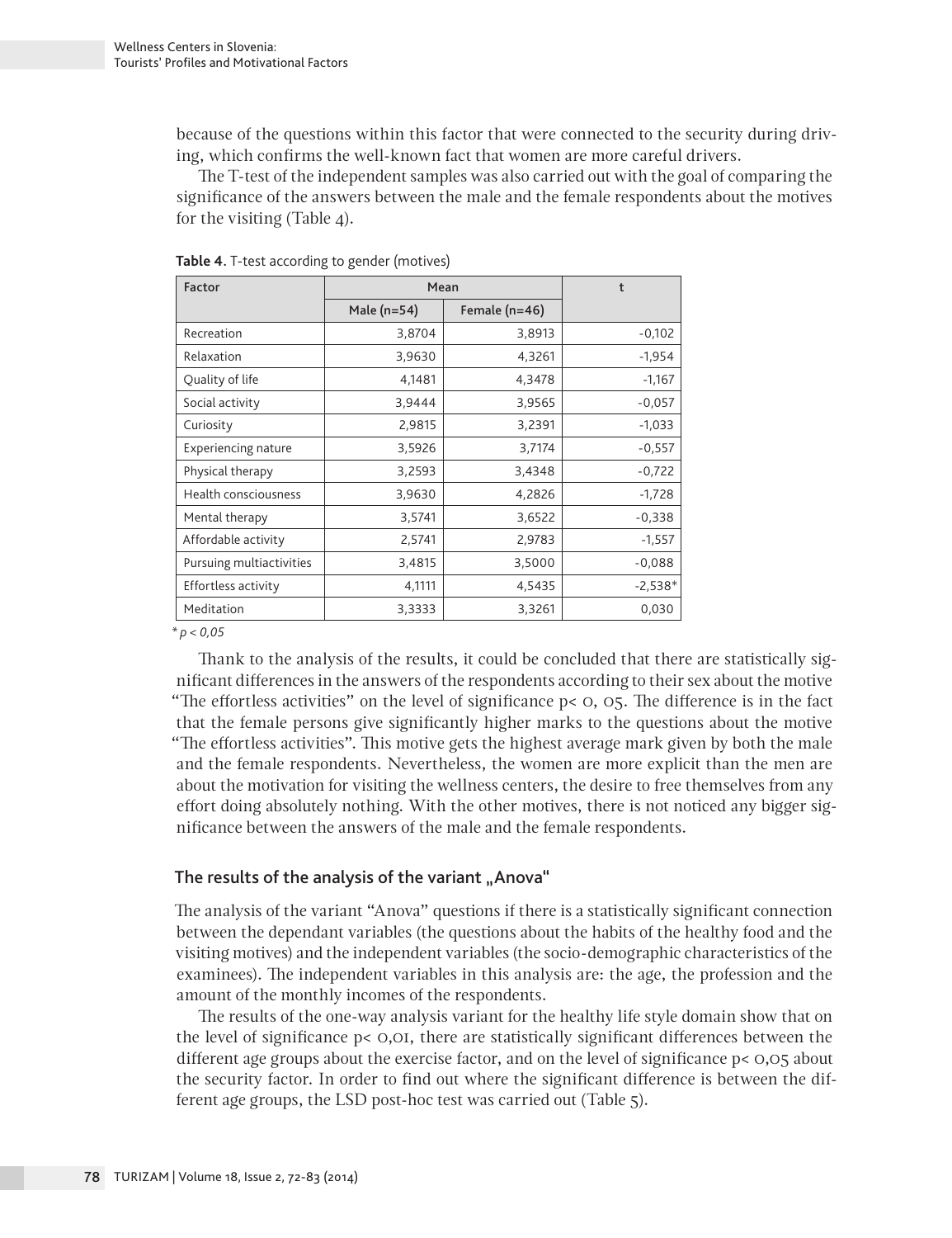because of the questions within this factor that were connected to the security during driving, which confirms the well-known fact that women are more careful drivers.

The T-test of the independent samples was also carried out with the goal of comparing the significance of the answers between the male and the female respondents about the motives for the visiting (Table 4).

| Factor                     | Mean          | t               |           |
|----------------------------|---------------|-----------------|-----------|
|                            | Male $(n=54)$ | Female $(n=46)$ |           |
| Recreation                 | 3,8704        | 3,8913          | $-0,102$  |
| Relaxation                 | 3,9630        | 4,3261          | $-1,954$  |
| Quality of life            | 4,1481        | 4,3478          | $-1,167$  |
| Social activity            | 3,9444        | 3,9565          | $-0,057$  |
| Curiosity                  | 2,9815        | 3,2391          | $-1,033$  |
| <b>Experiencing nature</b> | 3,5926        | 3,7174          | $-0,557$  |
| Physical therapy           | 3,2593        | 3,4348          | $-0,722$  |
| Health consciousness       | 3,9630        | 4,2826          | $-1,728$  |
| Mental therapy             | 3,5741        | 3,6522          | $-0,338$  |
| Affordable activity        | 2,5741        | 2,9783          | $-1,557$  |
| Pursuing multiactivities   | 3,4815        | 3,5000          | $-0,088$  |
| Effortless activity        | 4,1111        | 4,5435          | $-2,538*$ |
| Meditation                 | 3,3333        | 3,3261          | 0,030     |

**Table 4.** T-test according to gender (motives)

*\* p < 0,05*

Thank to the analysis of the results, it could be concluded that there are statistically significant differences in the answers of the respondents according to their sex about the motive "The effortless activities" on the level of significance p< 0, 05. The difference is in the fact that the female persons give significantly higher marks to the questions about the motive "The effortless activities". This motive gets the highest average mark given by both the male and the female respondents. Nevertheless, the women are more explicit than the men are about the motivation for visiting the wellness centers, the desire to free themselves from any effort doing absolutely nothing. With the other motives, there is not noticed any bigger significance between the answers of the male and the female respondents.

# The results of the analysis of the variant "Anova"

The analysis of the variant "Anova" questions if there is a statistically significant connection between the dependant variables (the questions about the habits of the healthy food and the visiting motives) and the independent variables (the socio-demographic characteristics of the examinees). The independent variables in this analysis are: the age, the profession and the amount of the monthly incomes of the respondents.

The results of the one-way analysis variant for the healthy life style domain show that on the level of significance p< 0,01, there are statistically significant differences between the different age groups about the exercise factor, and on the level of significance p< 0,05 about the security factor. In order to find out where the significant difference is between the different age groups, the LSD post-hoc test was carried out (Table 5).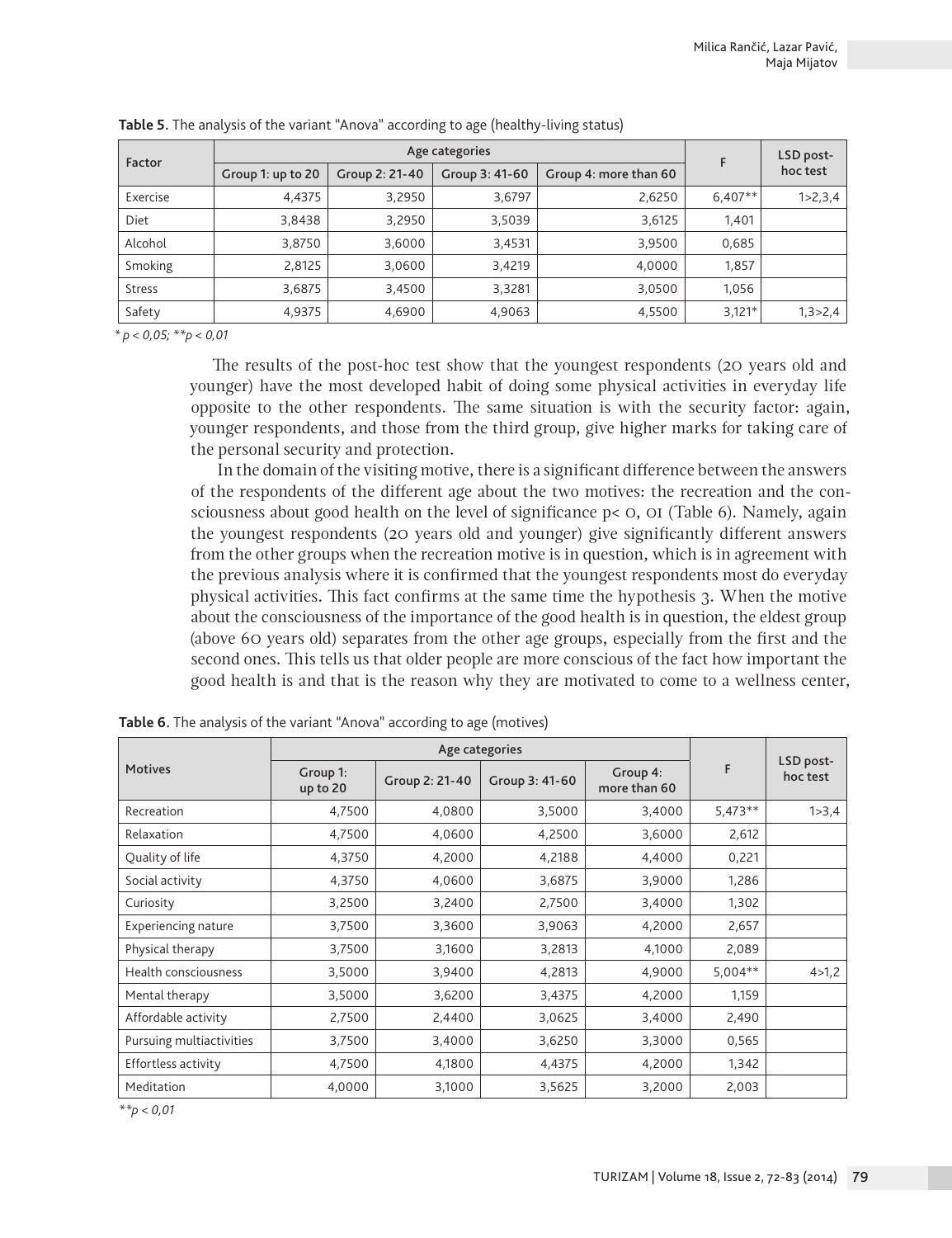|               |                   | F              | LSD post-      |                       |           |             |
|---------------|-------------------|----------------|----------------|-----------------------|-----------|-------------|
| Factor        | Group 1: up to 20 | Group 2: 21-40 | Group 3: 41-60 | Group 4: more than 60 |           | hoc test    |
| Exercise      | 4,4375            | 3,2950         | 3,6797         | 2,6250                | $6.407**$ | 1 > 2, 3, 4 |
| Diet          | 3,8438            | 3,2950         | 3,5039         | 3,6125                | 1,401     |             |
| Alcohol       | 3,8750            | 3,6000         | 3,4531         | 3,9500                | 0,685     |             |
| Smoking       | 2.8125            | 3,0600         | 3,4219         | 4.0000                | 1,857     |             |
| <b>Stress</b> | 3,6875            | 3,4500         | 3,3281         | 3,0500                | 1,056     |             |
| Safety        | 4,9375            | 4,6900         | 4,9063         | 4,5500                | $3,121*$  | 1,3 > 2,4   |

**Table 5.** The analysis of the variant "Anova" according to age (healthy-living status)

*\* p < 0,05; \*\*p < 0,01*

The results of the post-hoc test show that the youngest respondents (20 years old and younger) have the most developed habit of doing some physical activities in everyday life opposite to the other respondents. The same situation is with the security factor: again, younger respondents, and those from the third group, give higher marks for taking care of the personal security and protection.

 In the domain of the visiting motive, there is a significant difference between the answers of the respondents of the different age about the two motives: the recreation and the consciousness about good health on the level of significance p< 0, 01 (Table 6). Namely, again the youngest respondents (20 years old and younger) give significantly different answers from the other groups when the recreation motive is in question, which is in agreement with the previous analysis where it is confirmed that the youngest respondents most do everyday physical activities. This fact confirms at the same time the hypothesis 3. When the motive about the consciousness of the importance of the good health is in question, the eldest group (above 60 years old) separates from the other age groups, especially from the first and the second ones. This tells us that older people are more conscious of the fact how important the good health is and that is the reason why they are motivated to come to a wellness center,

| <b>Motives</b>             | Group 1:<br>up to 20 | Group 2: 21-40 | Group 3: 41-60 | Group 4:<br>more than 60 | F         | LSD post-<br>hoc test |
|----------------------------|----------------------|----------------|----------------|--------------------------|-----------|-----------------------|
| Recreation                 | 4,7500               | 4,0800         | 3,5000         | 3,4000                   | $5,473**$ | 1 > 3,4               |
| Relaxation                 | 4,7500               | 4,0600         | 4,2500         | 3,6000                   | 2,612     |                       |
| Quality of life            | 4,3750               | 4,2000         | 4,2188         | 4,4000                   | 0,221     |                       |
| Social activity            | 4,3750               | 4,0600         | 3,6875         | 3,9000                   | 1,286     |                       |
| Curiosity                  | 3,2500               | 3,2400         | 2,7500         | 3,4000                   | 1,302     |                       |
| <b>Experiencing nature</b> | 3,7500               | 3,3600         | 3,9063         | 4,2000                   | 2,657     |                       |
| Physical therapy           | 3,7500               | 3,1600         | 3,2813         | 4,1000                   | 2,089     |                       |
| Health consciousness       | 3,5000               | 3,9400         | 4,2813         | 4,9000                   | $5,004**$ | 4 > 1,2               |
| Mental therapy             | 3,5000               | 3,6200         | 3,4375         | 4,2000                   | 1,159     |                       |
| Affordable activity        | 2,7500               | 2,4400         | 3,0625         | 3,4000                   | 2,490     |                       |
| Pursuing multiactivities   | 3,7500               | 3,4000         | 3,6250         | 3,3000                   | 0,565     |                       |
| Effortless activity        | 4,7500               | 4,1800         | 4,4375         | 4,2000                   | 1,342     |                       |
| Meditation                 | 4.0000               | 3,1000         | 3,5625         | 3,2000                   | 2,003     |                       |

**Table 6.** The analysis of the variant "Anova" according to age (motives)

*\*\*p < 0,01*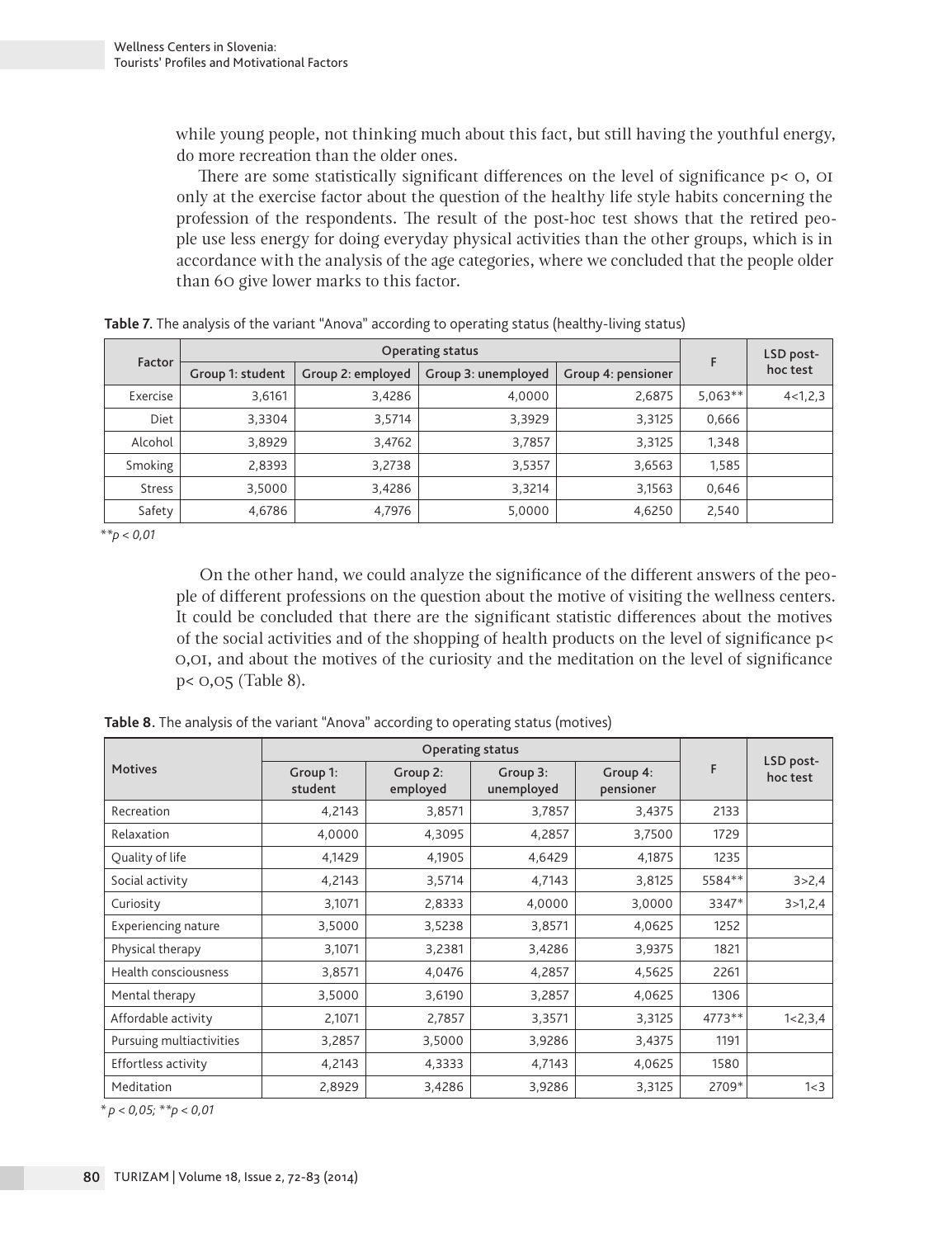while young people, not thinking much about this fact, but still having the youthful energy, do more recreation than the older ones.

There are some statistically significant differences on the level of significance  $p < 0$ , OI only at the exercise factor about the question of the healthy life style habits concerning the profession of the respondents. The result of the post-hoc test shows that the retired people use less energy for doing everyday physical activities than the other groups, which is in accordance with the analysis of the age categories, where we concluded that the people older than 60 give lower marks to this factor.

|               |                  | F                 | LSD post-           |                    |           |             |
|---------------|------------------|-------------------|---------------------|--------------------|-----------|-------------|
| Factor        | Group 1: student | Group 2: employed | Group 3: unemployed | Group 4: pensioner |           | hoc test    |
| Exercise      | 3.6161           | 3,4286            | 4.0000              | 2,6875             | $5.063**$ | 4 < 1, 2, 3 |
| <b>Diet</b>   | 3.3304           | 3.5714            | 3,3929              | 3,3125             | 0.666     |             |
| Alcohol       | 3.8929           | 3,4762            | 3,7857              | 3,3125             | 1.348     |             |
| Smoking       | 2,8393           | 3,2738            | 3,5357              | 3,6563             | 1.585     |             |
| <b>Stress</b> | 3,5000           | 3,4286            | 3,3214              | 3,1563             | 0.646     |             |
| Safety        | 4,6786           | 4,7976            | 5,0000              | 4,6250             | 2,540     |             |

**Table 7.** The analysis of the variant "Anova" according to operating status (healthy-living status)

*\*\*p < 0,01*

On the other hand, we could analyze the significance of the different answers of the people of different professions on the question about the motive of visiting the wellness centers. It could be concluded that there are the significant statistic differences about the motives of the social activities and of the shopping of health products on the level of significance p< 0,01, and about the motives of the curiosity and the meditation on the level of significance p< 0,05 (Table 8).

| Table 8. The analysis of the variant "Anova" according to operating status (motives) |
|--------------------------------------------------------------------------------------|
|--------------------------------------------------------------------------------------|

| <b>Motives</b>             | Group 1:<br>student | Group 2:<br>employed | Group 3:<br>unemployed | Group 4:<br>pensioner | F      | LSD post-<br>hoc test |
|----------------------------|---------------------|----------------------|------------------------|-----------------------|--------|-----------------------|
| Recreation                 | 4,2143              | 3,8571               | 3,7857                 | 3,4375                | 2133   |                       |
| Relaxation                 | 4,0000              | 4,3095               | 4,2857                 | 3,7500                | 1729   |                       |
| Quality of life            | 4,1429              | 4,1905               | 4,6429                 | 4,1875                | 1235   |                       |
| Social activity            | 4,2143              | 3,5714               | 4,7143                 | 3,8125                | 5584** | 3 > 2,4               |
| Curiosity                  | 3,1071              | 2,8333               | 4,0000                 | 3,0000                | 3347*  | 3 > 1, 2, 4           |
| <b>Experiencing nature</b> | 3,5000              | 3,5238               | 3,8571                 | 4,0625                | 1252   |                       |
| Physical therapy           | 3,1071              | 3,2381               | 3,4286                 | 3,9375                | 1821   |                       |
| Health consciousness       | 3,8571              | 4,0476               | 4,2857                 | 4,5625                | 2261   |                       |
| Mental therapy             | 3,5000              | 3,6190               | 3,2857                 | 4,0625                | 1306   |                       |
| Affordable activity        | 2,1071              | 2,7857               | 3,3571                 | 3,3125                | 4773** | 1 < 2, 3, 4           |
| Pursuing multiactivities   | 3,2857              | 3,5000               | 3,9286                 | 3,4375                | 1191   |                       |
| Effortless activity        | 4,2143              | 4,3333               | 4,7143                 | 4,0625                | 1580   |                       |
| Meditation                 | 2,8929              | 3,4286               | 3,9286                 | 3,3125                | 2709*  | $1<$ 3                |

*\* p < 0,05; \*\*p < 0,01*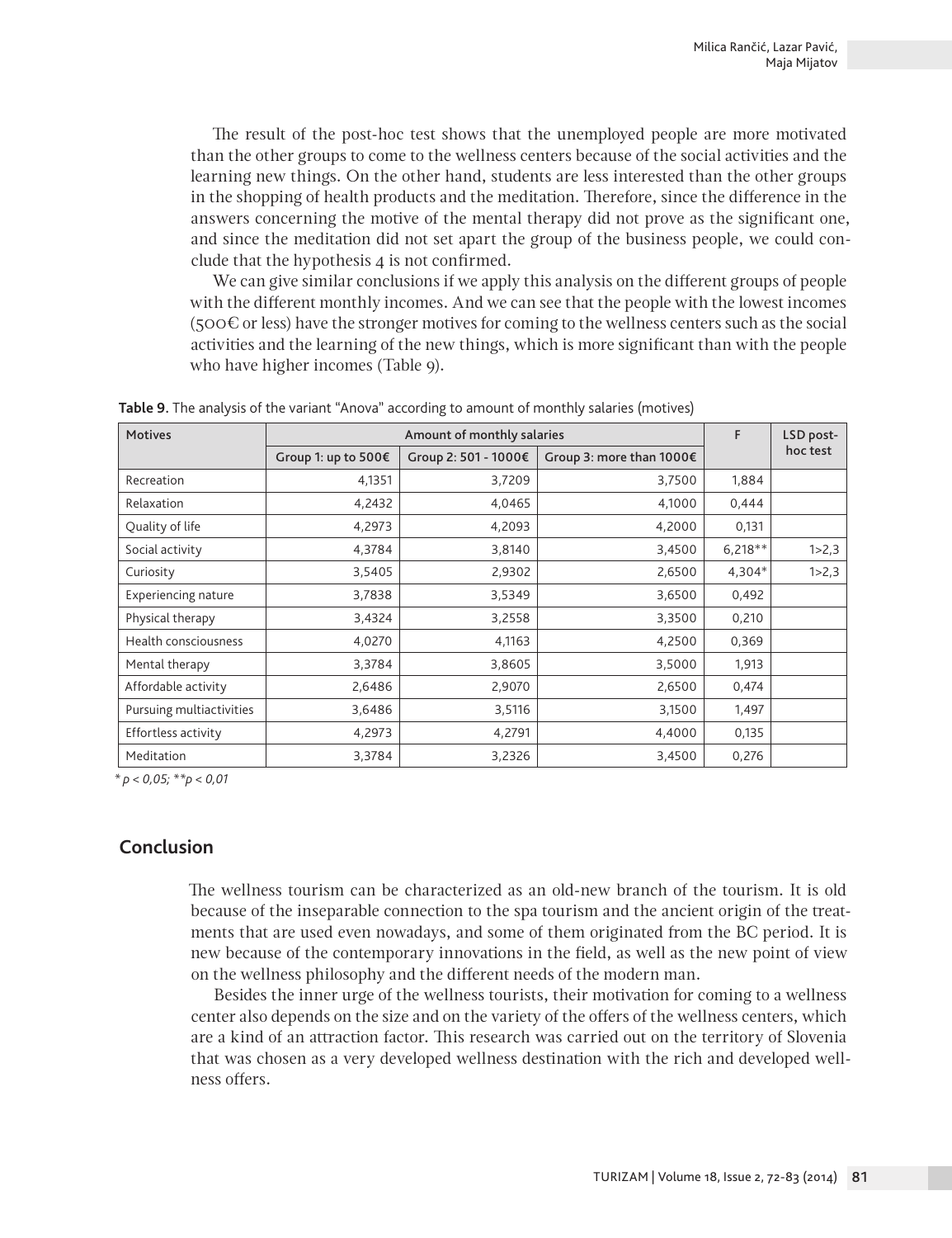The result of the post-hoc test shows that the unemployed people are more motivated than the other groups to come to the wellness centers because of the social activities and the learning new things. On the other hand, students are less interested than the other groups in the shopping of health products and the meditation. Therefore, since the difference in the answers concerning the motive of the mental therapy did not prove as the significant one, and since the meditation did not set apart the group of the business people, we could conclude that the hypothesis 4 is not confirmed.

We can give similar conclusions if we apply this analysis on the different groups of people with the different monthly incomes. And we can see that the people with the lowest incomes (500 $\epsilon$  or less) have the stronger motives for coming to the wellness centers such as the social activities and the learning of the new things, which is more significant than with the people who have higher incomes (Table 9).

| <b>Motives</b>             |                     | F                    | LSD post-                |           |          |
|----------------------------|---------------------|----------------------|--------------------------|-----------|----------|
|                            | Group 1: up to 500€ | Group 2: 501 - 1000€ | Group 3: more than 1000€ |           | hoc test |
| Recreation                 | 4,1351              | 3,7209               | 3,7500                   | 1,884     |          |
| Relaxation                 | 4,2432              | 4,0465               | 4.1000                   | 0,444     |          |
| Quality of life            | 4,2973              | 4,2093               | 4,2000                   | 0,131     |          |
| Social activity            | 4,3784              | 3,8140               | 3,4500                   | $6,218**$ | 1 > 2,3  |
| Curiosity                  | 3,5405              | 2,9302               | 2,6500                   | 4,304*    | 1 > 2,3  |
| <b>Experiencing nature</b> | 3,7838              | 3,5349               | 3,6500                   | 0,492     |          |
| Physical therapy           | 3,4324              | 3,2558               | 3,3500                   | 0,210     |          |
| Health consciousness       | 4,0270              | 4,1163               | 4,2500                   | 0,369     |          |
| Mental therapy             | 3,3784              | 3,8605               | 3,5000                   | 1,913     |          |
| Affordable activity        | 2,6486              | 2,9070               | 2,6500                   | 0,474     |          |
| Pursuing multiactivities   | 3,6486              | 3,5116               | 3,1500                   | 1,497     |          |
| Effortless activity        | 4,2973              | 4,2791               | 4,4000                   | 0,135     |          |
| Meditation                 | 3,3784              | 3,2326               | 3,4500                   | 0,276     |          |

**Table 9.** The analysis of the variant "Anova" according to amount of monthly salaries (motives)

*\* p < 0,05; \*\*p < 0,01*

# **Conclusion**

The wellness tourism can be characterized as an old-new branch of the tourism. It is old because of the inseparable connection to the spa tourism and the ancient origin of the treatments that are used even nowadays, and some of them originated from the BC period. It is new because of the contemporary innovations in the field, as well as the new point of view on the wellness philosophy and the different needs of the modern man.

Besides the inner urge of the wellness tourists, their motivation for coming to a wellness center also depends on the size and on the variety of the offers of the wellness centers, which are a kind of an attraction factor. This research was carried out on the territory of Slovenia that was chosen as a very developed wellness destination with the rich and developed wellness offers.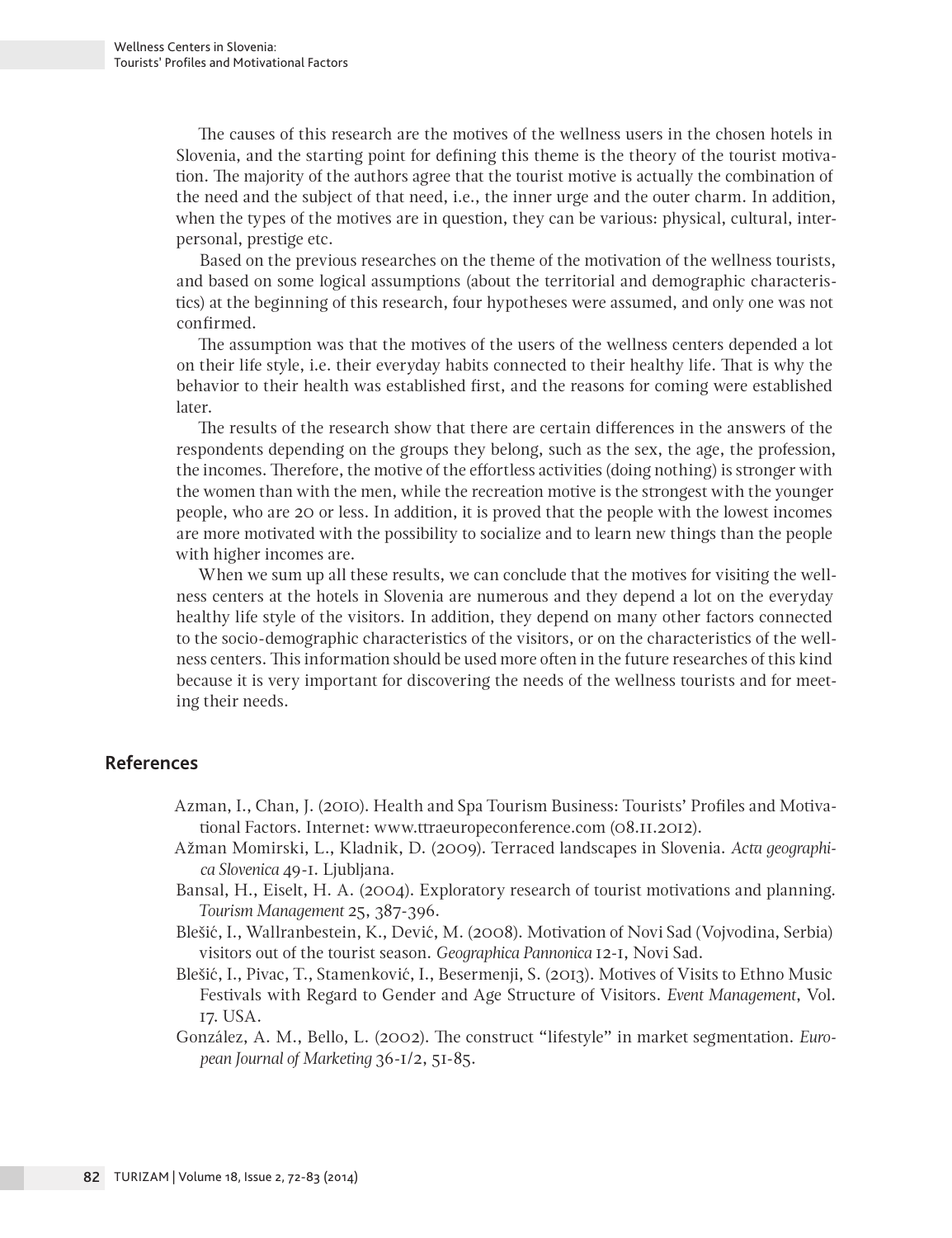The causes of this research are the motives of the wellness users in the chosen hotels in Slovenia, and the starting point for defining this theme is the theory of the tourist motivation. The majority of the authors agree that the tourist motive is actually the combination of the need and the subject of that need, i.e., the inner urge and the outer charm. In addition, when the types of the motives are in question, they can be various: physical, cultural, interpersonal, prestige etc.

Based on the previous researches on the theme of the motivation of the wellness tourists, and based on some logical assumptions (about the territorial and demographic characteristics) at the beginning of this research, four hypotheses were assumed, and only one was not confirmed.

The assumption was that the motives of the users of the wellness centers depended a lot on their life style, i.e. their everyday habits connected to their healthy life. That is why the behavior to their health was established first, and the reasons for coming were established later.

The results of the research show that there are certain differences in the answers of the respondents depending on the groups they belong, such as the sex, the age, the profession, the incomes. Therefore, the motive of the effortless activities (doing nothing) is stronger with the women than with the men, while the recreation motive is the strongest with the younger people, who are 20 or less. In addition, it is proved that the people with the lowest incomes are more motivated with the possibility to socialize and to learn new things than the people with higher incomes are.

When we sum up all these results, we can conclude that the motives for visiting the wellness centers at the hotels in Slovenia are numerous and they depend a lot on the everyday healthy life style of the visitors. In addition, they depend on many other factors connected to the socio-demographic characteristics of the visitors, or on the characteristics of the wellness centers. This information should be used more often in the future researches of this kind because it is very important for discovering the needs of the wellness tourists and for meeting their needs.

# **References**

- Azman, I., Chan, J. (2010). Health and Spa Tourism Business: Tourists' Profiles and Motivational Factors. Internet: www.ttraeuropeconference.com (08.11.2012).
- Ažman Momirski, L., Kladnik, D. (2009). Terraced landscapes in Slovenia. *Acta geographica Slovenica* 49-1. Ljubljana.
- Bansal, H., Eiselt, H. A. (2004). Exploratory research of tourist motivations and planning. *Tourism Management* 25, 387-396.
- Blešić, I., Wallranbestein, K., Dević, M. (2008). Motivation of Novi Sad (Vojvodina, Serbia) visitors out of the tourist season. *Geographica Pannonica* 12-1, Novi Sad.
- Blešić, I., Pivac, T., Stamenković, I., Besermenji, S. (2013). Motives of Visits to Ethno Music Festivals with Regard to Gender and Age Structure of Visitors. *Event Management*, Vol. 17. USA.
- González, A. M., Bello, L. (2002). The construct "lifestyle" in market segmentation. *European Journal of Marketing* 36-1/2, 51-85.